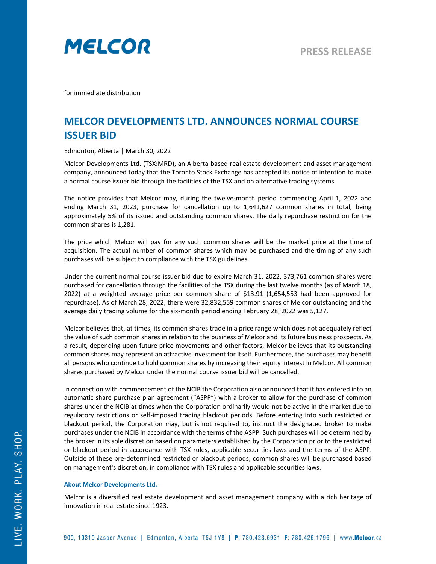

for immediate distribution

## **MELCOR DEVELOPMENTS LTD. ANNOUNCES NORMAL COURSE ISSUER BID**

Edmonton, Alberta | March 30, 2022

Melcor Developments Ltd. (TSX:MRD), an Alberta-based real estate development and asset management company, announced today that the Toronto Stock Exchange has accepted its notice of intention to make a normal course issuer bid through the facilities of the TSX and on alternative trading systems.

The notice provides that Melcor may, during the twelve-month period commencing April 1, 2022 and ending March 31, 2023, purchase for cancellation up to 1,641,627 common shares in total, being approximately 5% of its issued and outstanding common shares. The daily repurchase restriction for the common shares is 1,281.

The price which Melcor will pay for any such common shares will be the market price at the time of acquisition. The actual number of common shares which may be purchased and the timing of any such purchases will be subject to compliance with the TSX guidelines.

Under the current normal course issuer bid due to expire March 31, 2022, 373,761 common shares were purchased for cancellation through the facilities of the TSX during the last twelve months (as of March 18, 2022) at a weighted average price per common share of \$13.91 (1,654,553 had been approved for repurchase). As of March 28, 2022, there were 32,832,559 common shares of Melcor outstanding and the average daily trading volume for the six-month period ending February 28, 2022 was 5,127.

Melcor believes that, at times, its common shares trade in a price range which does not adequately reflect the value of such common shares in relation to the business of Melcor and its future business prospects. As a result, depending upon future price movements and other factors, Melcor believes that its outstanding common shares may represent an attractive investment for itself. Furthermore, the purchases may benefit all persons who continue to hold common shares by increasing their equity interest in Melcor. All common shares purchased by Melcor under the normal course issuer bid will be cancelled.

In connection with commencement of the NCIB the Corporation also announced that it has entered into an automatic share purchase plan agreement ("ASPP") with a broker to allow for the purchase of common shares under the NCIB at times when the Corporation ordinarily would not be active in the market due to regulatory restrictions or self-imposed trading blackout periods. Before entering into such restricted or blackout period, the Corporation may, but is not required to, instruct the designated broker to make purchases under the NCIB in accordance with the terms of the ASPP. Such purchases will be determined by the broker in its sole discretion based on parameters established by the Corporation prior to the restricted or blackout period in accordance with TSX rules, applicable securities laws and the terms of the ASPP. Outside of these pre-determined restricted or blackout periods, common shares will be purchased based on management's discretion, in compliance with TSX rules and applicable securities laws.

## **About Melcor Developments Ltd.**

Melcor is a diversified real estate development and asset management company with a rich heritage of innovation in real estate since 1923.